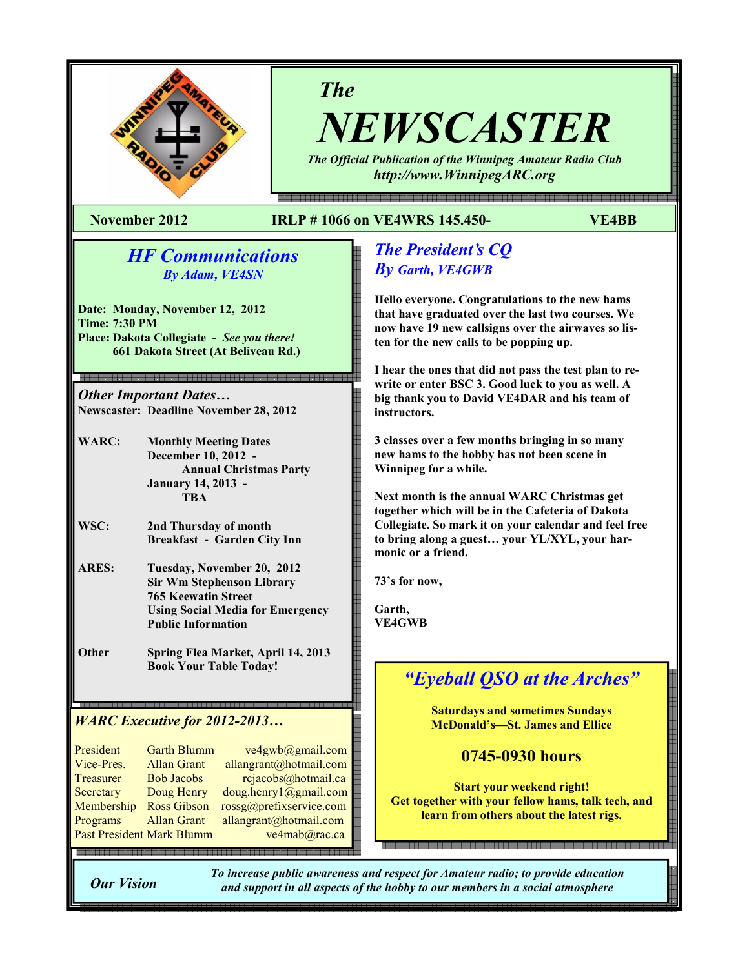

# The

NEWSCASTER The Official Publication of the Winnipeg Amateur Radio Club

http://www.WinnipegARC.org

몖a a a como da como do como do como do como do como do como do como do como do como do como do como do como do

#### November 2012 IRLP # 1066 on VE4WRS 145.450- VE4BB

# HF Communications By Adam, VE4SN

Date: Monday, November 12, 2012 Time: 7:30 PM Place: Dakota Collegiate - See you there! 661 Dakota Street (At Beliveau Rd.)

Other Important Dates… Newscaster: Deadline November 28, 2012

- WARC: Monthly Meeting Dates December 10, 2012 - Annual Christmas Party January 14, 2013 - **TRA**
- WSC: 2nd Thursday of month Breakfast - Garden City Inn
- ARES: Tuesday, November 20, 2012 Sir Wm Stephenson Library 765 Keewatin Street Using Social Media for Emergency Public Information
- Other Spring Flea Market, April 14, 2013 Book Your Table Today!

# WARC Executive for 2012-2013…

| President  | <b>Garth Blumm</b>        | ve4gwb@gmail.com        |
|------------|---------------------------|-------------------------|
| Vice-Pres. | <b>Allan Grant</b>        | allangrant@hotmail.com  |
| Treasurer  | <b>Bob Jacobs</b>         | rcjacobs@hotmail.ca     |
| Secretary  | Doug Henry                | doug.henry1@gmail.com   |
| Membership | <b>Ross Gibson</b>        | rossg@prefixservice.com |
| Programs   | <b>Allan Grant</b>        | allangrant@hotmail.com  |
|            | Past President Mark Blumm | ve4mab@rac.ca           |
|            |                           |                         |

# The President's CQ By Garth, VE4GWB

Hello everyone. Congratulations to the new hams that have graduated over the last two courses. We now have 19 new callsigns over the airwaves so listen for the new calls to be popping up.

I hear the ones that did not pass the test plan to rewrite or enter BSC 3. Good luck to you as well. A big thank you to David VE4DAR and his team of instructors.

3 classes over a few months bringing in so many new hams to the hobby has not been scene in Winnipeg for a while.

Next month is the annual WARC Christmas get together which will be in the Cafeteria of Dakota Collegiate. So mark it on your calendar and feel free to bring along a guest… your YL/XYL, your harmonic or a friend.

73's for now,

Garth, VE4GWB

# "Eyeball QSO at the Arches"

Saturdays and sometimes Sundays McDonald's—St. James and Ellice

# 0745-0930 hours

Start your weekend right! Get together with your fellow hams, talk tech, and learn from others about the latest rigs.

Our Vision

To increase public awareness and respect for Amateur radio; to provide education and support in all aspects of the hobby to our members in a social atmosphere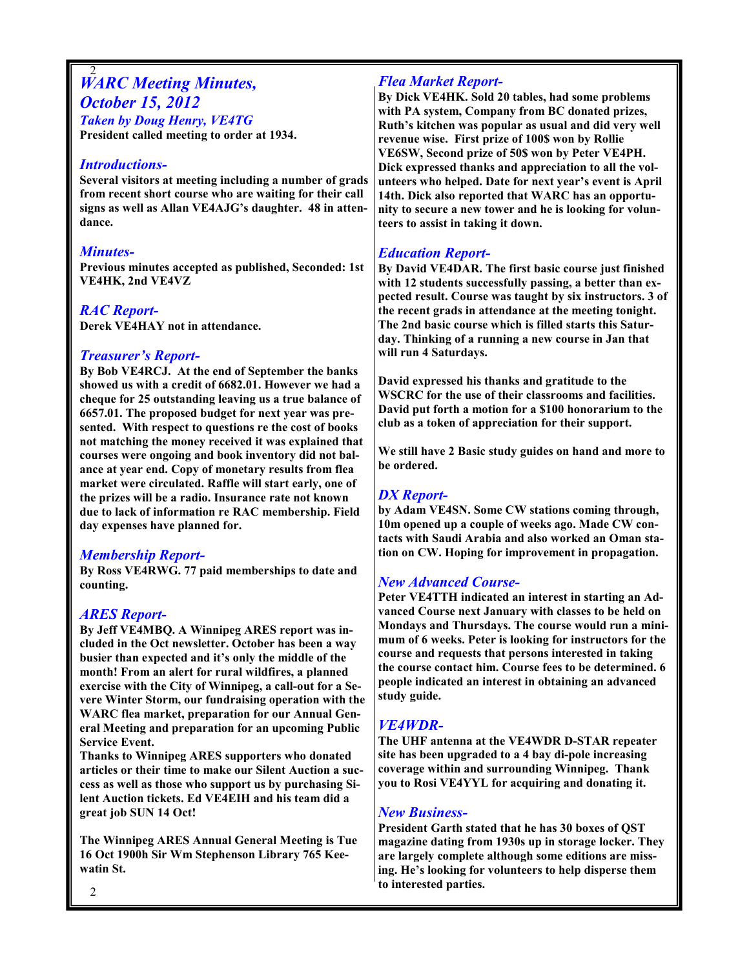## 2 **WARC Meeting Minutes,** October 15, 2012 Taken by Doug Henry, VE4TG

President called meeting to order at 1934.

#### Introductions-

Several visitors at meeting including a number of grads from recent short course who are waiting for their call signs as well as Allan VE4AJG's daughter. 48 in attendance.

## Minutes-

Previous minutes accepted as published, Seconded: 1st VE4HK, 2nd VE4VZ

RAC Report-Derek VE4HAY not in attendance.

## Treasurer's Report-

By Bob VE4RCJ. At the end of September the banks showed us with a credit of 6682.01. However we had a cheque for 25 outstanding leaving us a true balance of 6657.01. The proposed budget for next year was presented. With respect to questions re the cost of books not matching the money received it was explained that courses were ongoing and book inventory did not balance at year end. Copy of monetary results from flea market were circulated. Raffle will start early, one of the prizes will be a radio. Insurance rate not known due to lack of information re RAC membership. Field day expenses have planned for.

#### Membership Report-

By Ross VE4RWG. 77 paid memberships to date and counting.

## ARES Report-

By Jeff VE4MBQ. A Winnipeg ARES report was included in the Oct newsletter. October has been a way busier than expected and it's only the middle of the month! From an alert for rural wildfires, a planned exercise with the City of Winnipeg, a call-out for a Severe Winter Storm, our fundraising operation with the WARC flea market, preparation for our Annual General Meeting and preparation for an upcoming Public Service Event.

Thanks to Winnipeg ARES supporters who donated articles or their time to make our Silent Auction a success as well as those who support us by purchasing Silent Auction tickets. Ed VE4EIH and his team did a great job SUN 14 Oct!

The Winnipeg ARES Annual General Meeting is Tue 16 Oct 1900h Sir Wm Stephenson Library 765 Keewatin St.

## Flea Market Report-

By Dick VE4HK. Sold 20 tables, had some problems with PA system, Company from BC donated prizes, Ruth's kitchen was popular as usual and did very well revenue wise. First prize of 100\$ won by Rollie VE6SW, Second prize of 50\$ won by Peter VE4PH. Dick expressed thanks and appreciation to all the volunteers who helped. Date for next year's event is April 14th. Dick also reported that WARC has an opportunity to secure a new tower and he is looking for volunteers to assist in taking it down.

# Education Report-

By David VE4DAR. The first basic course just finished with 12 students successfully passing, a better than expected result. Course was taught by six instructors. 3 of the recent grads in attendance at the meeting tonight. The 2nd basic course which is filled starts this Saturday. Thinking of a running a new course in Jan that will run 4 Saturdays.

David expressed his thanks and gratitude to the WSCRC for the use of their classrooms and facilities. David put forth a motion for a \$100 honorarium to the club as a token of appreciation for their support.

We still have 2 Basic study guides on hand and more to be ordered.

# DX Report-

by Adam VE4SN. Some CW stations coming through, 10m opened up a couple of weeks ago. Made CW contacts with Saudi Arabia and also worked an Oman station on CW. Hoping for improvement in propagation.

## New Advanced Course-

Peter VE4TTH indicated an interest in starting an Advanced Course next January with classes to be held on Mondays and Thursdays. The course would run a minimum of 6 weeks. Peter is looking for instructors for the course and requests that persons interested in taking the course contact him. Course fees to be determined. 6 people indicated an interest in obtaining an advanced study guide.

# VE4WDR-

The UHF antenna at the VE4WDR D-STAR repeater site has been upgraded to a 4 bay di-pole increasing coverage within and surrounding Winnipeg. Thank you to Rosi VE4YYL for acquiring and donating it.

## New Business-

President Garth stated that he has 30 boxes of QST magazine dating from 1930s up in storage locker. They are largely complete although some editions are missing. He's looking for volunteers to help disperse them to interested parties.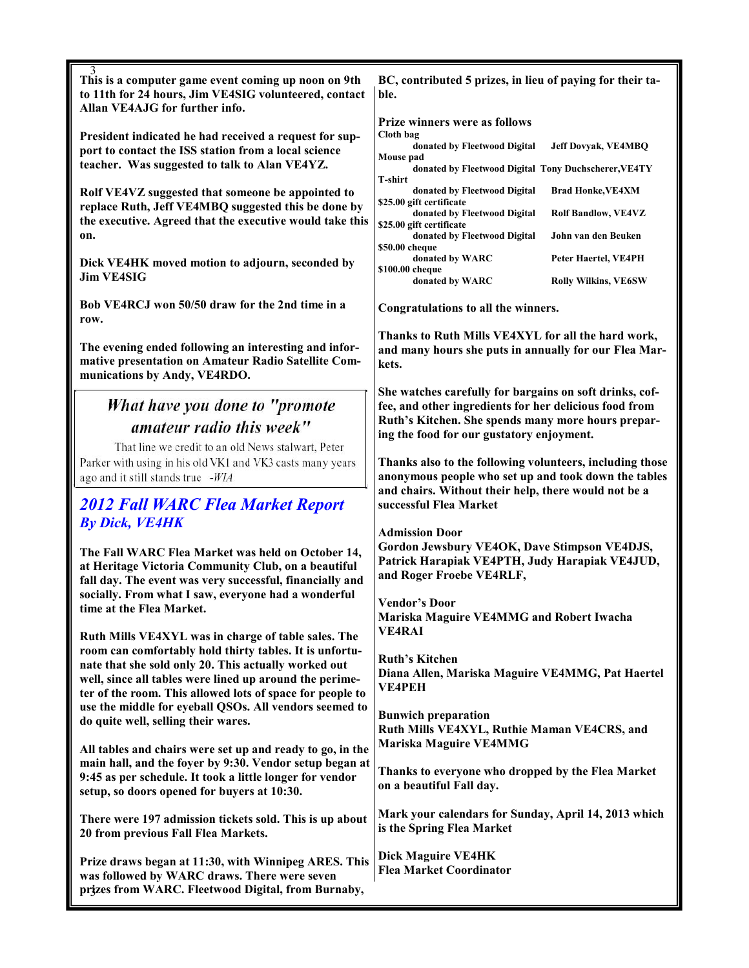| 3<br>This is a computer game event coming up noon on 9th                                                                                                                     | BC, contributed 5 prizes, in lieu of paying for their ta-                                                                                                                                                            |  |  |
|------------------------------------------------------------------------------------------------------------------------------------------------------------------------------|----------------------------------------------------------------------------------------------------------------------------------------------------------------------------------------------------------------------|--|--|
| to 11th for 24 hours, Jim VE4SIG volunteered, contact<br>Allan VE4AJG for further info.                                                                                      | ble.                                                                                                                                                                                                                 |  |  |
| President indicated he had received a request for sup-                                                                                                                       | <b>Prize winners were as follows</b><br>Cloth bag                                                                                                                                                                    |  |  |
| port to contact the ISS station from a local science                                                                                                                         | donated by Fleetwood Digital<br><b>Jeff Dovyak, VE4MBQ</b><br>Mouse pad                                                                                                                                              |  |  |
| teacher. Was suggested to talk to Alan VE4YZ.                                                                                                                                | donated by Fleetwood Digital Tony Duchscherer, VE4TY<br>T-shirt                                                                                                                                                      |  |  |
| Rolf VE4VZ suggested that someone be appointed to<br>replace Ruth, Jeff VE4MBQ suggested this be done by                                                                     | donated by Fleetwood Digital<br><b>Brad Honke, VE4XM</b><br>\$25.00 gift certificate                                                                                                                                 |  |  |
| the executive. Agreed that the executive would take this<br>on.                                                                                                              | donated by Fleetwood Digital<br><b>Rolf Bandlow, VE4VZ</b><br>\$25.00 gift certificate<br>donated by Fleetwood Digital<br>John van den Beuken                                                                        |  |  |
|                                                                                                                                                                              | \$50.00 cheque<br>donated by WARC<br>Peter Haertel, VE4PH                                                                                                                                                            |  |  |
| Dick VE4HK moved motion to adjourn, seconded by<br><b>Jim VE4SIG</b>                                                                                                         | \$100.00 cheque<br>donated by WARC<br><b>Rolly Wilkins, VE6SW</b>                                                                                                                                                    |  |  |
| Bob VE4RCJ won 50/50 draw for the 2nd time in a<br>row.                                                                                                                      | Congratulations to all the winners.                                                                                                                                                                                  |  |  |
| The evening ended following an interesting and infor-<br>mative presentation on Amateur Radio Satellite Com-<br>munications by Andy, VE4RDO.                                 | Thanks to Ruth Mills VE4XYL for all the hard work,<br>and many hours she puts in annually for our Flea Mar-<br>kets.                                                                                                 |  |  |
| What have you done to "promote                                                                                                                                               | She watches carefully for bargains on soft drinks, cof-<br>fee, and other ingredients for her delicious food from<br>Ruth's Kitchen. She spends many more hours prepar-<br>ing the food for our gustatory enjoyment. |  |  |
| amateur radio this week"                                                                                                                                                     |                                                                                                                                                                                                                      |  |  |
| That line we credit to an old News stalwart, Peter                                                                                                                           |                                                                                                                                                                                                                      |  |  |
| Parker with using in his old VK1 and VK3 casts many years<br>ago and it still stands true -WIA                                                                               | Thanks also to the following volunteers, including those<br>anonymous people who set up and took down the tables<br>and chairs. Without their help, there would not be a<br>successful Flea Market                   |  |  |
| <b>2012 Fall WARC Flea Market Report</b>                                                                                                                                     |                                                                                                                                                                                                                      |  |  |
| <b>By Dick, VE4HK</b>                                                                                                                                                        | <b>Admission Door</b><br>Gordon Jewsbury VE4OK, Dave Stimpson VE4DJS,<br>Patrick Harapiak VE4PTH, Judy Harapiak VE4JUD,<br>and Roger Froebe VE4RLF,                                                                  |  |  |
| The Fall WARC Flea Market was held on October 14,<br>at Heritage Victoria Community Club, on a beautiful<br>fall day. The event was very successful, financially and         |                                                                                                                                                                                                                      |  |  |
| socially. From what I saw, everyone had a wonderful<br>time at the Flea Market.                                                                                              | <b>Vendor's Door</b>                                                                                                                                                                                                 |  |  |
|                                                                                                                                                                              | Mariska Maguire VE4MMG and Robert Iwacha<br><b>VE4RAI</b>                                                                                                                                                            |  |  |
| Ruth Mills VE4XYL was in charge of table sales. The<br>room can comfortably hold thirty tables. It is unfortu-                                                               |                                                                                                                                                                                                                      |  |  |
| nate that she sold only 20. This actually worked out<br>well, since all tables were lined up around the perime-<br>ter of the room. This allowed lots of space for people to | <b>Ruth's Kitchen</b><br>Diana Allen, Mariska Maguire VE4MMG, Pat Haertel<br><b>VE4PEH</b>                                                                                                                           |  |  |
| use the middle for eyeball QSOs. All vendors seemed to<br>do quite well, selling their wares.                                                                                | <b>Bunwich preparation</b><br>Ruth Mills VE4XYL, Ruthie Maman VE4CRS, and<br>Mariska Maguire VE4MMG                                                                                                                  |  |  |
|                                                                                                                                                                              |                                                                                                                                                                                                                      |  |  |
| All tables and chairs were set up and ready to go, in the<br>main hall, and the foyer by 9:30. Vendor setup began at                                                         | Thanks to everyone who dropped by the Flea Market                                                                                                                                                                    |  |  |
| 9:45 as per schedule. It took a little longer for vendor<br>setup, so doors opened for buyers at 10:30.                                                                      | on a beautiful Fall day.                                                                                                                                                                                             |  |  |
| There were 197 admission tickets sold. This is up about<br>20 from previous Fall Flea Markets.                                                                               | Mark your calendars for Sunday, April 14, 2013 which<br>is the Spring Flea Market                                                                                                                                    |  |  |
| Prize draws began at 11:30, with Winnipeg ARES. This                                                                                                                         | <b>Dick Maguire VE4HK</b><br><b>Flea Market Coordinator</b>                                                                                                                                                          |  |  |
| was followed by WARC draws. There were seven<br>prizes from WARC. Fleetwood Digital, from Burnaby,                                                                           |                                                                                                                                                                                                                      |  |  |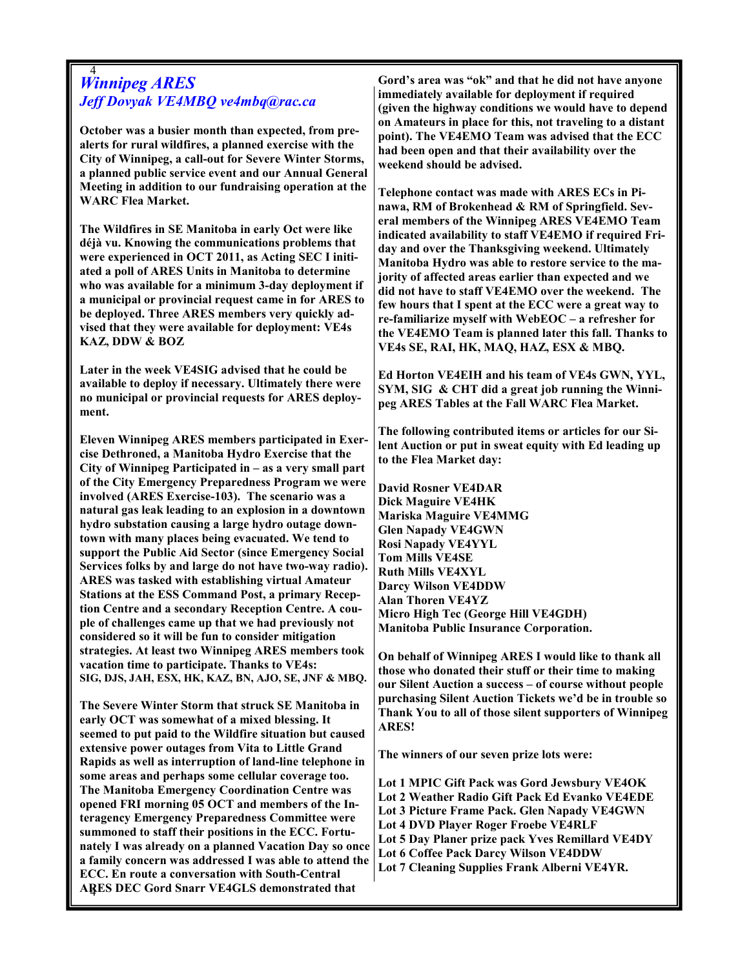#### 4 Winnipeg ARES Jeff Dovyak VE4MBQ ve4mbq@rac.ca

October was a busier month than expected, from prealerts for rural wildfires, a planned exercise with the City of Winnipeg, a call-out for Severe Winter Storms, a planned public service event and our Annual General Meeting in addition to our fundraising operation at the WARC Flea Market.

The Wildfires in SE Manitoba in early Oct were like déjà vu. Knowing the communications problems that were experienced in OCT 2011, as Acting SEC I initiated a poll of ARES Units in Manitoba to determine who was available for a minimum 3-day deployment if a municipal or provincial request came in for ARES to be deployed. Three ARES members very quickly advised that they were available for deployment: VE4s KAZ, DDW & BOZ

Later in the week VE4SIG advised that he could be available to deploy if necessary. Ultimately there were no municipal or provincial requests for ARES deployment.

Eleven Winnipeg ARES members participated in Exercise Dethroned, a Manitoba Hydro Exercise that the City of Winnipeg Participated in – as a very small part of the City Emergency Preparedness Program we were involved (ARES Exercise-103). The scenario was a natural gas leak leading to an explosion in a downtown hydro substation causing a large hydro outage downtown with many places being evacuated. We tend to support the Public Aid Sector (since Emergency Social Services folks by and large do not have two-way radio). ARES was tasked with establishing virtual Amateur Stations at the ESS Command Post, a primary Reception Centre and a secondary Reception Centre. A couple of challenges came up that we had previously not considered so it will be fun to consider mitigation strategies. At least two Winnipeg ARES members took vacation time to participate. Thanks to VE4s: SIG, DJS, JAH, ESX, HK, KAZ, BN, AJO, SE, JNF & MBQ.

4 ARES DEC Gord Snarr VE4GLS demonstrated that The Severe Winter Storm that struck SE Manitoba in early OCT was somewhat of a mixed blessing. It seemed to put paid to the Wildfire situation but caused extensive power outages from Vita to Little Grand Rapids as well as interruption of land-line telephone in some areas and perhaps some cellular coverage too. The Manitoba Emergency Coordination Centre was opened FRI morning 05 OCT and members of the Interagency Emergency Preparedness Committee were summoned to staff their positions in the ECC. Fortunately I was already on a planned Vacation Day so once a family concern was addressed I was able to attend the ECC. En route a conversation with South-Central

Gord's area was "ok" and that he did not have anyone immediately available for deployment if required (given the highway conditions we would have to depend on Amateurs in place for this, not traveling to a distant point). The VE4EMO Team was advised that the ECC had been open and that their availability over the weekend should be advised.

Telephone contact was made with ARES ECs in Pinawa, RM of Brokenhead & RM of Springfield. Several members of the Winnipeg ARES VE4EMO Team indicated availability to staff VE4EMO if required Friday and over the Thanksgiving weekend. Ultimately Manitoba Hydro was able to restore service to the majority of affected areas earlier than expected and we did not have to staff VE4EMO over the weekend. The few hours that I spent at the ECC were a great way to re-familiarize myself with WebEOC – a refresher for the VE4EMO Team is planned later this fall. Thanks to VE4s SE, RAI, HK, MAQ, HAZ, ESX & MBQ.

Ed Horton VE4EIH and his team of VE4s GWN, YYL, SYM, SIG & CHT did a great job running the Winnipeg ARES Tables at the Fall WARC Flea Market.

The following contributed items or articles for our Silent Auction or put in sweat equity with Ed leading up to the Flea Market day:

David Rosner VE4DAR Dick Maguire VE4HK Mariska Maguire VE4MMG Glen Napady VE4GWN Rosi Napady VE4YYL Tom Mills VE4SE Ruth Mills VE4XYL Darcy Wilson VE4DDW Alan Thoren VE4YZ Micro High Tec (George Hill VE4GDH) Manitoba Public Insurance Corporation.

On behalf of Winnipeg ARES I would like to thank all those who donated their stuff or their time to making our Silent Auction a success – of course without people purchasing Silent Auction Tickets we'd be in trouble so Thank You to all of those silent supporters of Winnipeg ARES!

The winners of our seven prize lots were:

Lot 1 MPIC Gift Pack was Gord Jewsbury VE4OK Lot 2 Weather Radio Gift Pack Ed Evanko VE4EDE Lot 3 Picture Frame Pack. Glen Napady VE4GWN Lot 4 DVD Player Roger Froebe VE4RLF Lot 5 Day Planer prize pack Yves Remillard VE4DY Lot 6 Coffee Pack Darcy Wilson VE4DDW Lot 7 Cleaning Supplies Frank Alberni VE4YR.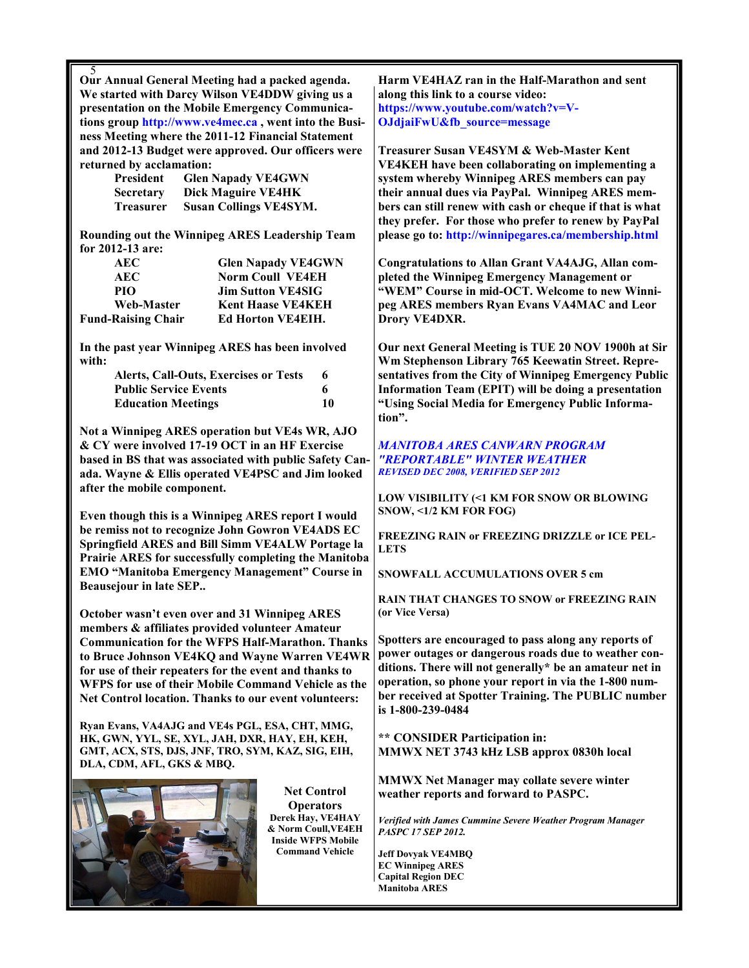5 Our Annual General Meeting had a packed agenda. We started with Darcy Wilson VE4DDW giving us a presentation on the Mobile Emergency Communications group http://www.ve4mec.ca , went into the Business Meeting where the 2011-12 Financial Statement and 2012-13 Budget were approved. Our officers were returned by acclamation:

| President        | <b>Glen Napady VE4GWN</b>     |
|------------------|-------------------------------|
| <b>Secretary</b> | Dick Maguire VE4HK            |
| <b>Treasurer</b> | <b>Susan Collings VE4SYM.</b> |

Rounding out the Winnipeg ARES Leadership Team for 2012-13 are:

| AEC                       | <b>Glen Napady VE4GWN</b> |
|---------------------------|---------------------------|
| AEC                       | <b>Norm Coull VE4EH</b>   |
| PIO                       | <b>Jim Sutton VE4SIG</b>  |
| Web-Master                | <b>Kent Haase VE4KEH</b>  |
| <b>Fund-Raising Chair</b> | <b>Ed Horton VE4EIH.</b>  |

In the past year Winnipeg ARES has been involved with:

| <b>Alerts, Call-Outs, Exercises or Tests</b> |    |
|----------------------------------------------|----|
| <b>Public Service Events</b>                 |    |
| <b>Education Meetings</b>                    | 10 |

Not a Winnipeg ARES operation but VE4s WR, AJO & CY were involved 17-19 OCT in an HF Exercise based in BS that was associated with public Safety Canada. Wayne & Ellis operated VE4PSC and Jim looked after the mobile component.

Even though this is a Winnipeg ARES report I would be remiss not to recognize John Gowron VE4ADS EC Springfield ARES and Bill Simm VE4ALW Portage la Prairie ARES for successfully completing the Manitoba EMO "Manitoba Emergency Management" Course in Beausejour in late SEP..

October wasn't even over and 31 Winnipeg ARES members & affiliates provided volunteer Amateur Communication for the WFPS Half-Marathon. Thanks to Bruce Johnson VE4KQ and Wayne Warren VE4WR for use of their repeaters for the event and thanks to WFPS for use of their Mobile Command Vehicle as the Net Control location. Thanks to our event volunteers:

Ryan Evans, VA4AJG and VE4s PGL, ESA, CHT, MMG, HK, GWN, YYL, SE, XYL, JAH, DXR, HAY, EH, KEH, GMT, ACX, STS, DJS, JNF, TRO, SYM, KAZ, SIG, EIH, DLA, CDM, AFL, GKS & MBQ.



Net Control **Operators** Derek Hay, VE4HAY & Norm Coull,VE4EH Inside WFPS Mobile Command Vehicle

Harm VE4HAZ ran in the Half-Marathon and sent along this link to a course video: https://www.youtube.com/watch?v=V-OJdjaiFwU&fb\_source=message

Treasurer Susan VE4SYM & Web-Master Kent VE4KEH have been collaborating on implementing a system whereby Winnipeg ARES members can pay their annual dues via PayPal. Winnipeg ARES members can still renew with cash or cheque if that is what they prefer. For those who prefer to renew by PayPal please go to: http://winnipegares.ca/membership.html

Congratulations to Allan Grant VA4AJG, Allan completed the Winnipeg Emergency Management or "WEM" Course in mid-OCT. Welcome to new Winnipeg ARES members Ryan Evans VA4MAC and Leor Drory VE4DXR.

Our next General Meeting is TUE 20 NOV 1900h at Sir Wm Stephenson Library 765 Keewatin Street. Representatives from the City of Winnipeg Emergency Public Information Team (EPIT) will be doing a presentation "Using Social Media for Emergency Public Information".

#### MANITOBA ARES CANWARN PROGRAM "REPORTABLE" WINTER WEATHER REVISED DEC 2008, VERIFIED SEP 2012

LOW VISIBILITY (<1 KM FOR SNOW OR BLOWING SNOW, <1/2 KM FOR FOG)

FREEZING RAIN or FREEZING DRIZZLE or ICE PEL-LETS

SNOWFALL ACCUMULATIONS OVER 5 cm

RAIN THAT CHANGES TO SNOW or FREEZING RAIN (or Vice Versa)

Spotters are encouraged to pass along any reports of power outages or dangerous roads due to weather conditions. There will not generally\* be an amateur net in operation, so phone your report in via the 1-800 number received at Spotter Training. The PUBLIC number is 1-800-239-0484

\*\* CONSIDER Participation in: MMWX NET 3743 kHz LSB approx 0830h local

MMWX Net Manager may collate severe winter weather reports and forward to PASPC.

Verified with James Cummine Severe Weather Program Manager PASPC 17 SEP 2012.

Jeff Dovyak VE4MBQ EC Winnipeg ARES Capital Region DEC Manitoba ARES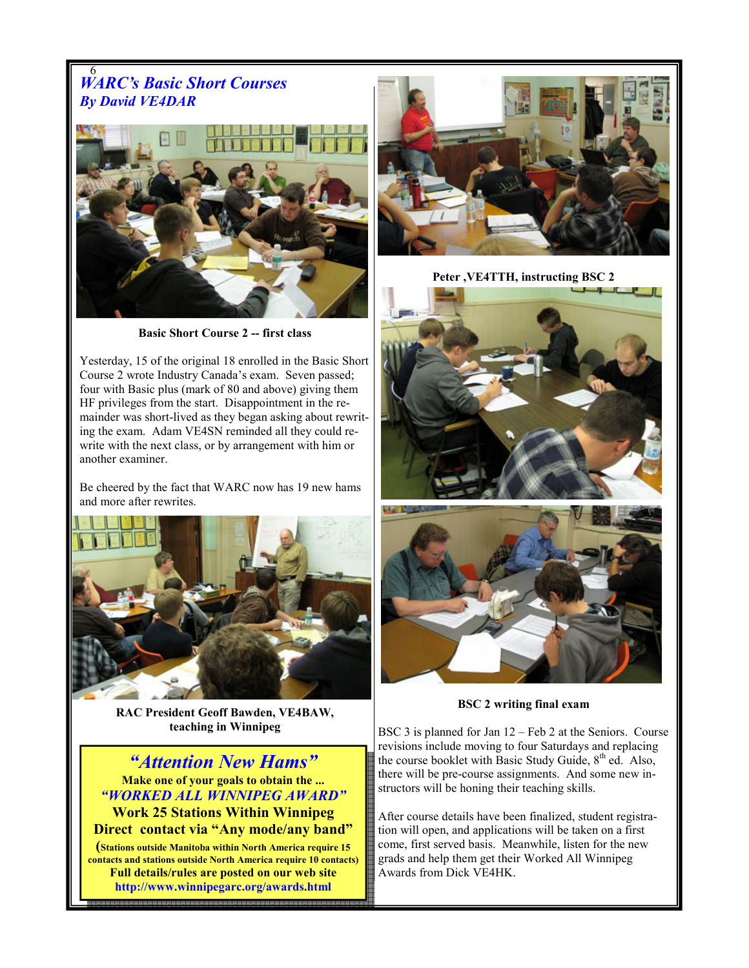#### 6 WARC's Basic Short Courses By David VE4DAR



Basic Short Course 2 -- first class

Yesterday, 15 of the original 18 enrolled in the Basic Short Course 2 wrote Industry Canada's exam. Seven passed; four with Basic plus (mark of 80 and above) giving them HF privileges from the start. Disappointment in the remainder was short-lived as they began asking about rewriting the exam. Adam VE4SN reminded all they could rewrite with the next class, or by arrangement with him or another examiner.

Be cheered by the fact that WARC now has 19 new hams and more after rewrites.



RAC President Geoff Bawden, VE4BAW, teaching in Winnipeg

6 "Attention New Hams" Make one of your goals to obtain the ... "WORKED ALL WINNIPEG AWARD" Work 25 Stations Within Winnipeg Direct contact via "Any mode/any band" (Stations outside Manitoba within North America require 15 contacts and stations outside North America require 10 contacts) Full details/rules are posted on our web site http://www.winnipegarc.org/awards.html



Peter ,VE4TTH, instructing BSC 2



BSC 2 writing final exam

BSC 3 is planned for Jan 12 – Feb 2 at the Seniors. Course revisions include moving to four Saturdays and replacing the course booklet with Basic Study Guide, 8<sup>th</sup> ed. Also, there will be pre-course assignments. And some new instructors will be honing their teaching skills.

After course details have been finalized, student registration will open, and applications will be taken on a first come, first served basis. Meanwhile, listen for the new grads and help them get their Worked All Winnipeg Awards from Dick VE4HK.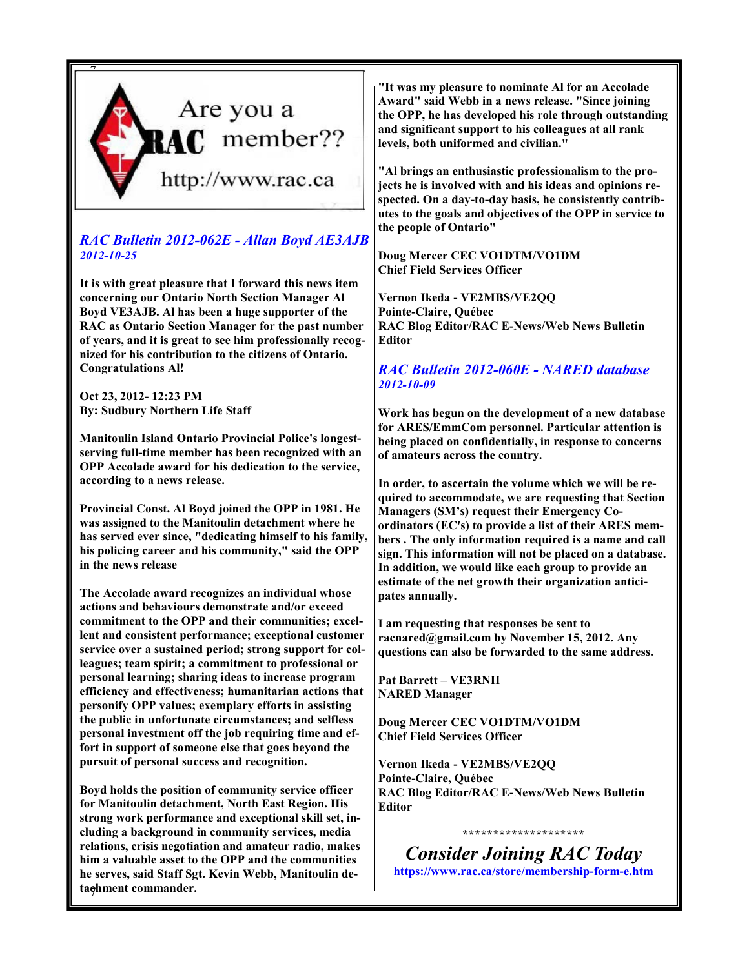

#### RAC Bulletin 2012-062E - Allan Boyd AE3AJB 2012-10-25

It is with great pleasure that I forward this news item concerning our Ontario North Section Manager Al Boyd VE3AJB. Al has been a huge supporter of the RAC as Ontario Section Manager for the past number of years, and it is great to see him professionally recognized for his contribution to the citizens of Ontario. Congratulations Al!

Oct 23, 2012- 12:23 PM By: Sudbury Northern Life Staff

Manitoulin Island Ontario Provincial Police's longestserving full-time member has been recognized with an OPP Accolade award for his dedication to the service, according to a news release.

Provincial Const. Al Boyd joined the OPP in 1981. He was assigned to the Manitoulin detachment where he has served ever since, "dedicating himself to his family, his policing career and his community," said the OPP in the news release

The Accolade award recognizes an individual whose actions and behaviours demonstrate and/or exceed commitment to the OPP and their communities; excellent and consistent performance; exceptional customer service over a sustained period; strong support for colleagues; team spirit; a commitment to professional or personal learning; sharing ideas to increase program efficiency and effectiveness; humanitarian actions that personify OPP values; exemplary efforts in assisting the public in unfortunate circumstances; and selfless personal investment off the job requiring time and effort in support of someone else that goes beyond the pursuit of personal success and recognition.

tachment commander. Boyd holds the position of community service officer for Manitoulin detachment, North East Region. His strong work performance and exceptional skill set, including a background in community services, media relations, crisis negotiation and amateur radio, makes him a valuable asset to the OPP and the communities he serves, said Staff Sgt. Kevin Webb, Manitoulin de"It was my pleasure to nominate Al for an Accolade Award" said Webb in a news release. "Since joining the OPP, he has developed his role through outstanding and significant support to his colleagues at all rank levels, both uniformed and civilian."

"Al brings an enthusiastic professionalism to the projects he is involved with and his ideas and opinions respected. On a day-to-day basis, he consistently contributes to the goals and objectives of the OPP in service to the people of Ontario"

#### Doug Mercer CEC VO1DTM/VO1DM Chief Field Services Officer

Vernon Ikeda - VE2MBS/VE2QQ Pointe-Claire, Québec RAC Blog Editor/RAC E-News/Web News Bulletin Editor

#### RAC Bulletin 2012-060E - NARED database 2012-10-09

Work has begun on the development of a new database for ARES/EmmCom personnel. Particular attention is being placed on confidentially, in response to concerns of amateurs across the country.

In order, to ascertain the volume which we will be required to accommodate, we are requesting that Section Managers (SM's) request their Emergency Coordinators (EC's) to provide a list of their ARES members . The only information required is a name and call sign. This information will not be placed on a database. In addition, we would like each group to provide an estimate of the net growth their organization anticipates annually.

I am requesting that responses be sent to racnared@gmail.com by November 15, 2012. Any questions can also be forwarded to the same address.

Pat Barrett – VE3RNH NARED Manager

Doug Mercer CEC VO1DTM/VO1DM Chief Field Services Officer

Vernon Ikeda - VE2MBS/VE2QQ Pointe-Claire, Québec RAC Blog Editor/RAC E-News/Web News Bulletin Editor

\*\*\*\*\*\*\*\*\*\*\*\*\*\*\*\*\*\*\*\*

Consider Joining RAC Today https://www.rac.ca/store/membership-form-e.htm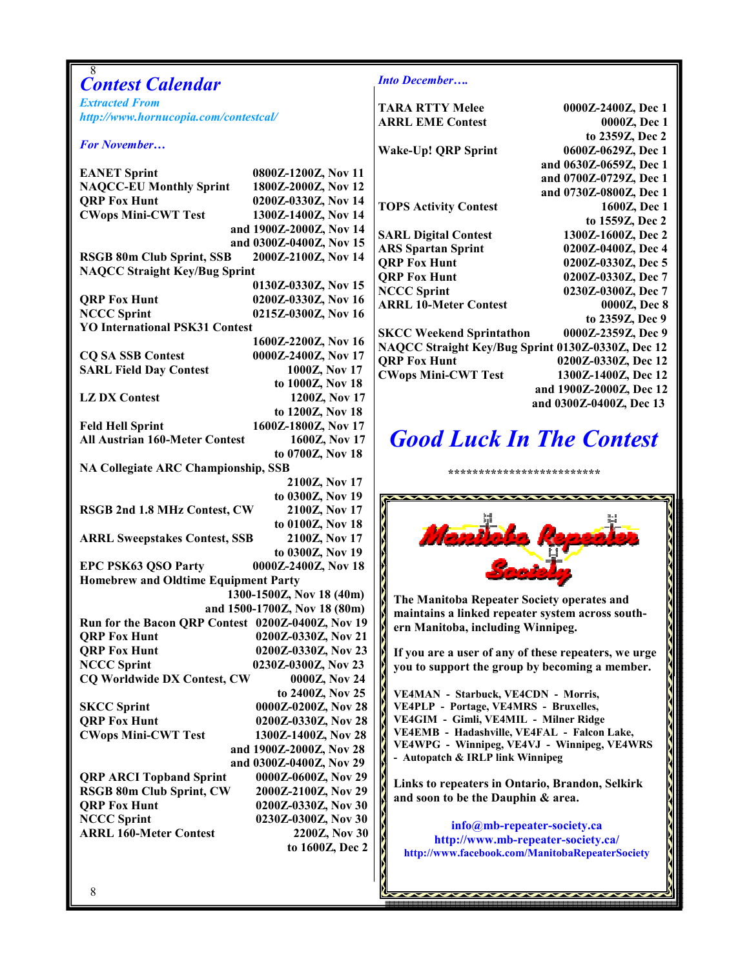| 8<br><b>Contest Calendar</b>                                |                                            | <b>Into December</b>                                                            |                                                |
|-------------------------------------------------------------|--------------------------------------------|---------------------------------------------------------------------------------|------------------------------------------------|
| <b>Extracted From</b>                                       |                                            | <b>TARA RTTY Melee</b>                                                          | 0000Z-2400Z, Dec 1                             |
| http://www.hornucopia.com/contestcal/                       |                                            | <b>ARRL EME Contest</b>                                                         | 0000Z, Dec 1                                   |
|                                                             |                                            |                                                                                 | to 2359Z, Dec 2                                |
| <b>For November</b>                                         |                                            | Wake-Up! QRP Sprint                                                             | 0600Z-0629Z, Dec 1                             |
| <b>EANET Sprint</b>                                         | 0800Z-1200Z, Nov 11                        |                                                                                 | and 0630Z-0659Z, Dec 1                         |
| <b>NAQCC-EU Monthly Sprint</b>                              | 1800Z-2000Z, Nov 12                        |                                                                                 | and 0700Z-0729Z, Dec 1                         |
| <b>QRP Fox Hunt</b>                                         | 0200Z-0330Z, Nov 14                        |                                                                                 | and 0730Z-0800Z, Dec 1                         |
| <b>CWops Mini-CWT Test</b>                                  | 1300Z-1400Z, Nov 14                        | <b>TOPS Activity Contest</b>                                                    | 1600Z, Dec 1<br>to 1559Z, Dec 2                |
|                                                             | and 1900Z-2000Z, Nov 14                    | <b>SARL Digital Contest</b>                                                     | 1300Z-1600Z, Dec 2                             |
|                                                             | and 0300Z-0400Z, Nov 15                    | <b>ARS Spartan Sprint</b>                                                       | 0200Z-0400Z, Dec 4                             |
| <b>RSGB 80m Club Sprint, SSB</b>                            | 2000Z-2100Z, Nov 14                        | <b>QRP Fox Hunt</b>                                                             | 0200Z-0330Z, Dec 5                             |
| <b>NAQCC Straight Key/Bug Sprint</b>                        |                                            | <b>QRP Fox Hunt</b>                                                             | 0200Z-0330Z, Dec 7                             |
|                                                             | 0130Z-0330Z, Nov 15                        | <b>NCCC Sprint</b>                                                              | 0230Z-0300Z, Dec 7                             |
| <b>QRP Fox Hunt</b>                                         | 0200Z-0330Z, Nov 16                        | <b>ARRL 10-Meter Contest</b>                                                    | 0000Z, Dec 8                                   |
| <b>NCCC Sprint</b><br><b>YO International PSK31 Contest</b> | 0215Z-0300Z, Nov 16                        |                                                                                 | to 2359Z, Dec 9                                |
|                                                             | 1600Z-2200Z, Nov 16                        | 0000Z-2359Z, Dec 9<br><b>SKCC Weekend Sprintathon</b>                           |                                                |
| <b>CQ SA SSB Contest</b>                                    | 0000Z-2400Z, Nov 17                        | NAQCC Straight Key/Bug Sprint 0130Z-0330Z, Dec 12                               |                                                |
| <b>SARL Field Day Contest</b>                               | 1000Z, Nov 17                              | <b>QRP Fox Hunt</b>                                                             | 0200Z-0330Z, Dec 12                            |
|                                                             | to 1000Z, Nov 18                           | <b>CWops Mini-CWT Test</b>                                                      | 1300Z-1400Z, Dec 12<br>and 1900Z-2000Z, Dec 12 |
| <b>LZDX</b> Contest                                         | 1200Z, Nov 17                              |                                                                                 | and 0300Z-0400Z, Dec 13                        |
|                                                             | to 1200Z, Nov 18                           |                                                                                 |                                                |
| <b>Feld Hell Sprint</b>                                     | 1600Z-1800Z, Nov 17                        |                                                                                 |                                                |
| <b>All Austrian 160-Meter Contest</b>                       | 1600Z, Nov 17                              | <b>Good Luck In The Contest</b>                                                 |                                                |
|                                                             | to 0700Z, Nov 18                           |                                                                                 |                                                |
| <b>NA Collegiate ARC Championship, SSB</b>                  |                                            | **************************                                                      |                                                |
|                                                             | 2100Z, Nov 17<br>to 0300Z, Nov 19          |                                                                                 |                                                |
| RSGB 2nd 1.8 MHz Contest, CW                                | 2100Z, Nov 17                              |                                                                                 |                                                |
|                                                             | to 0100Z, Nov 18                           |                                                                                 |                                                |
| <b>ARRL Sweepstakes Contest, SSB</b>                        | 2100Z, Nov 17                              | Maniboba Rep                                                                    |                                                |
|                                                             | to 0300Z, Nov 19                           |                                                                                 |                                                |
| <b>EPC PSK63 QSO Party</b>                                  | 0000Z-2400Z, Nov 18                        |                                                                                 |                                                |
| <b>Homebrew and Oldtime Equipment Party</b>                 |                                            |                                                                                 |                                                |
|                                                             | 1300-1500Z, Nov 18 (40m)                   | The Manitoba Repeater Society operates and                                      |                                                |
|                                                             | and 1500-1700Z, Nov 18 (80m)               | maintains a linked repeater system across south-                                |                                                |
| Run for the Bacon QRP Contest 0200Z-0400Z, Nov 19           |                                            | ern Manitoba, including Winnipeg.                                               |                                                |
| <b>ORP Fox Hunt</b>                                         | 0200Z-0330Z, Nov 21                        |                                                                                 |                                                |
| <b>QRP Fox Hunt</b><br><b>NCCC Sprint</b>                   | 0200Z-0330Z, Nov 23<br>0230Z-0300Z, Nov 23 | If you are a user of any of these repeaters, we urge                            |                                                |
| CQ Worldwide DX Contest, CW                                 | 0000Z, Nov 24                              | you to support the group by becoming a member.                                  |                                                |
|                                                             | to 2400Z, Nov 25                           | VE4MAN - Starbuck, VE4CDN - Morris,                                             |                                                |
| <b>SKCC Sprint</b>                                          | 0000Z-0200Z, Nov 28                        | VE4PLP - Portage, VE4MRS - Bruxelles,                                           |                                                |
| <b>QRP Fox Hunt</b>                                         | 0200Z-0330Z, Nov 28                        | VE4GIM - Gimli, VE4MIL - Milner Ridge                                           |                                                |
| <b>CWops Mini-CWT Test</b>                                  | 1300Z-1400Z, Nov 28                        | VE4EMB - Hadashville, VE4FAL - Falcon Lake,                                     |                                                |
|                                                             | and 1900Z-2000Z, Nov 28                    | VE4WPG - Winnipeg, VE4VJ - Winnipeg, VE4WRS<br>- Autopatch & IRLP link Winnipeg |                                                |
|                                                             | and 0300Z-0400Z, Nov 29                    |                                                                                 |                                                |
| <b>QRP ARCI Topband Sprint</b>                              | 0000Z-0600Z, Nov 29                        | Links to repeaters in Ontario, Brandon, Selkirk                                 |                                                |
| <b>RSGB 80m Club Sprint, CW</b>                             | 2000Z-2100Z, Nov 29                        | and soon to be the Dauphin & area.                                              |                                                |
| <b>QRP Fox Hunt</b>                                         | 0200Z-0330Z, Nov 30                        |                                                                                 |                                                |
| <b>NCCC Sprint</b><br><b>ARRL 160-Meter Contest</b>         | 0230Z-0300Z, Nov 30<br>2200Z, Nov 30       | info@mb-repeater-society.ca                                                     |                                                |
|                                                             | to 1600Z, Dec 2                            | http://www.mb-repeater-society.ca/                                              |                                                |
|                                                             |                                            | http://www.facebook.com/ManitobaRepeaterSociety                                 |                                                |
|                                                             |                                            |                                                                                 |                                                |
| 8                                                           |                                            |                                                                                 |                                                |